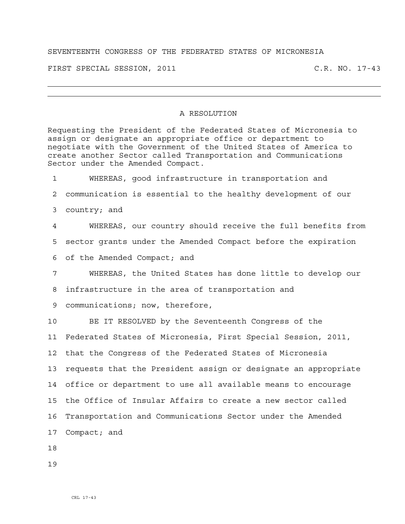## SEVENTEENTH CONGRESS OF THE FEDERATED STATES OF MICRONESIA

FIRST SPECIAL SESSION, 2011 C.R. NO. 17-43

## A RESOLUTION

Requesting the President of the Federated States of Micronesia to assign or designate an appropriate office or department to negotiate with the Government of the United States of America to create another Sector called Transportation and Communications Sector under the Amended Compact.

1 WHEREAS, good infrastructure in transportation and 2 communication is essential to the healthy development of our 3 country; and 4 WHEREAS, our country should receive the full benefits from 5 sector grants under the Amended Compact before the expiration

6 of the Amended Compact; and

7 WHEREAS, the United States has done little to develop our 8 infrastructure in the area of transportation and

9 communications; now, therefore,

10 BE IT RESOLVED by the Seventeenth Congress of the 11 Federated States of Micronesia, First Special Session, 2011, 12 that the Congress of the Federated States of Micronesia 13 requests that the President assign or designate an appropriate 14 office or department to use all available means to encourage 15 the Office of Insular Affairs to create a new sector called 16 Transportation and Communications Sector under the Amended 17 Compact; and

18

19